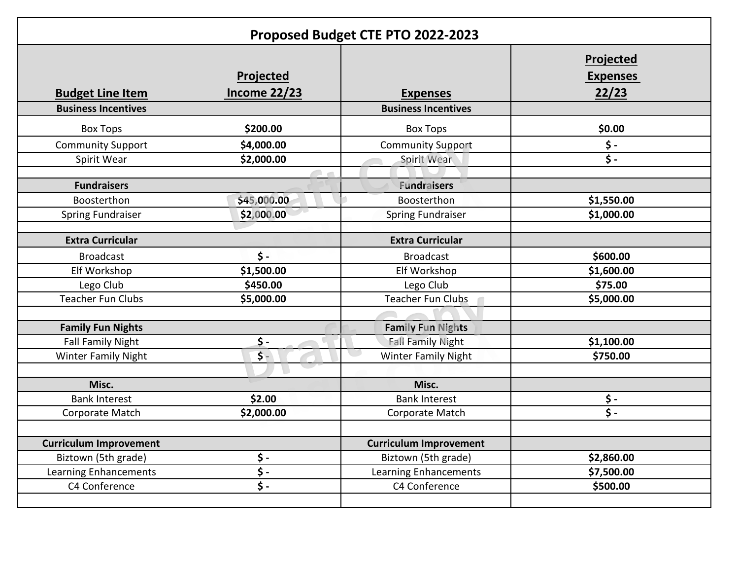| Proposed Budget CTE PTO 2022-2023 |                                   |                               |                                              |  |
|-----------------------------------|-----------------------------------|-------------------------------|----------------------------------------------|--|
| <b>Budget Line Item</b>           | Projected<br><b>Income 22/23</b>  | <b>Expenses</b>               | <b>Projected</b><br><b>Expenses</b><br>22/23 |  |
| <b>Business Incentives</b>        |                                   | <b>Business Incentives</b>    |                                              |  |
| <b>Box Tops</b>                   | \$200.00                          | <b>Box Tops</b>               | \$0.00                                       |  |
| <b>Community Support</b>          | \$4,000.00                        | <b>Community Support</b>      | $\boldsymbol{\dot{\varsigma}}$ -             |  |
| Spirit Wear                       | \$2,000.00                        | Spirit Wear                   | $\overline{\xi}$ .                           |  |
|                                   | $\sim$                            |                               |                                              |  |
| <b>Fundraisers</b>                |                                   | <b>Fundraisers</b>            |                                              |  |
| Boosterthon                       | \$45,000.00                       | Boosterthon                   | \$1,550.00                                   |  |
| <b>Spring Fundraiser</b>          | \$2,000.00                        | <b>Spring Fundraiser</b>      | \$1,000.00                                   |  |
| <b>Extra Curricular</b>           |                                   | <b>Extra Curricular</b>       |                                              |  |
| <b>Broadcast</b>                  | $\mathsf{\$}$ -                   | <b>Broadcast</b>              | \$600.00                                     |  |
| Elf Workshop                      | \$1,500.00                        | Elf Workshop                  | \$1,600.00                                   |  |
| Lego Club                         | \$450.00                          | Lego Club                     | \$75.00                                      |  |
| <b>Teacher Fun Clubs</b>          | \$5,000.00                        | <b>Teacher Fun Clubs</b>      | \$5,000.00                                   |  |
|                                   |                                   |                               |                                              |  |
| <b>Family Fun Nights</b>          |                                   | <b>Family Fun Nights</b>      |                                              |  |
| <b>Fall Family Night</b>          | $\dot{\mathsf{S}}$ -              | <b>Fall Family Night</b>      | \$1,100.00                                   |  |
| <b>Winter Family Night</b>        | $\frac{1}{2}$                     | <b>Winter Family Night</b>    | \$750.00                                     |  |
| Misc.                             |                                   | Misc.                         |                                              |  |
| <b>Bank Interest</b>              | \$2.00                            | <b>Bank Interest</b>          | \$-                                          |  |
| Corporate Match                   | \$2,000.00                        | Corporate Match               | $\dot{\mathsf{S}}$ -                         |  |
|                                   |                                   |                               |                                              |  |
| <b>Curriculum Improvement</b>     |                                   | <b>Curriculum Improvement</b> |                                              |  |
| Biztown (5th grade)               | \$-                               | Biztown (5th grade)           | \$2,860.00                                   |  |
| Learning Enhancements             | $\overline{\boldsymbol{\zeta}}$ . | Learning Enhancements         | \$7,500.00                                   |  |
| C4 Conference                     | $\ddot{\mathsf{S}}$ -             | C4 Conference                 | \$500.00                                     |  |
|                                   |                                   |                               |                                              |  |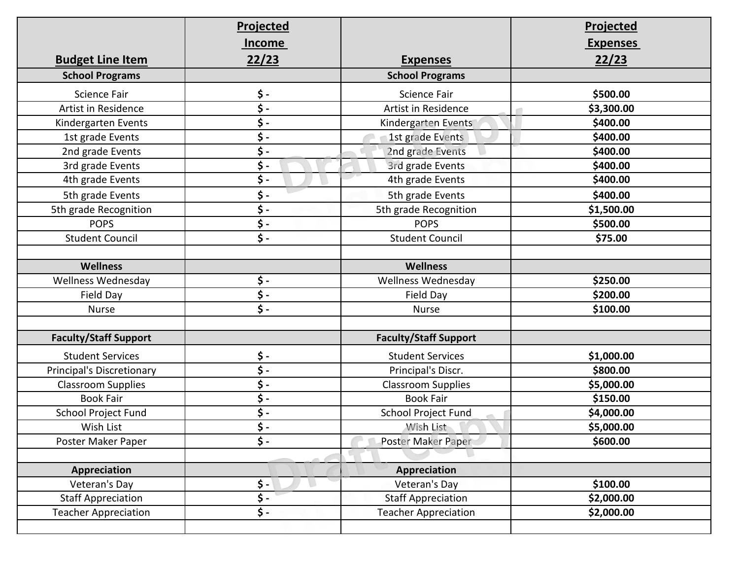|                                  | <b>Projected</b>      |                              | <b>Projected</b> |
|----------------------------------|-----------------------|------------------------------|------------------|
|                                  | <b>Income</b>         |                              | <b>Expenses</b>  |
| <b>Budget Line Item</b>          | 22/23                 | <b>Expenses</b>              | 22/23            |
| <b>School Programs</b>           |                       | <b>School Programs</b>       |                  |
| <b>Science Fair</b>              | \$-                   | Science Fair                 | \$500.00         |
| Artist in Residence              | \$-                   | Artist in Residence          | \$3,300.00       |
| Kindergarten Events              | \$ -                  | Kindergarten Events          | \$400.00         |
| 1st grade Events                 | \$-                   | 1st grade Events             | \$400.00         |
| 2nd grade Events                 | \$ -                  | 2nd grade Events             | \$400.00         |
| 3rd grade Events                 | \$ -                  | 3rd grade Events             | \$400.00         |
| 4th grade Events                 | \$-                   | 4th grade Events             | \$400.00         |
| 5th grade Events                 | \$-                   | 5th grade Events             | \$400.00         |
| 5th grade Recognition            | \$ -                  | 5th grade Recognition        | \$1,500.00       |
| <b>POPS</b>                      | \$-                   | <b>POPS</b>                  | \$500.00         |
| <b>Student Council</b>           | \$-                   | <b>Student Council</b>       | \$75.00          |
|                                  |                       |                              |                  |
| <b>Wellness</b>                  |                       | <b>Wellness</b>              |                  |
| <b>Wellness Wednesday</b>        | \$-                   | <b>Wellness Wednesday</b>    | \$250.00         |
| Field Day                        | \$-                   | Field Day                    | \$200.00         |
| <b>Nurse</b>                     | $\ddot{\mathsf{s}}$ . | <b>Nurse</b>                 | \$100.00         |
|                                  |                       |                              |                  |
| <b>Faculty/Staff Support</b>     |                       | <b>Faculty/Staff Support</b> |                  |
| <b>Student Services</b>          | \$-                   | <b>Student Services</b>      | \$1,000.00       |
| <b>Principal's Discretionary</b> | \$-                   | Principal's Discr.           | \$800.00         |
| <b>Classroom Supplies</b>        | \$-                   | <b>Classroom Supplies</b>    | \$5,000.00       |
| <b>Book Fair</b>                 | \$-                   | <b>Book Fair</b>             | \$150.00         |
| School Project Fund              | \$-                   | School Project Fund          | \$4,000.00       |
| Wish List                        | \$-                   | Wish List                    | \$5,000.00       |
| Poster Maker Paper               | \$-                   | Poster Maker Paper           | \$600.00         |
|                                  |                       |                              |                  |
| Appreciation                     |                       | Appreciation                 |                  |
| Veteran's Day                    | \$ -                  | Veteran's Day                | \$100.00         |
| <b>Staff Appreciation</b>        | \$-                   | <b>Staff Appreciation</b>    | \$2,000.00       |
| <b>Teacher Appreciation</b>      | \$-                   | <b>Teacher Appreciation</b>  | \$2,000.00       |
|                                  |                       |                              |                  |